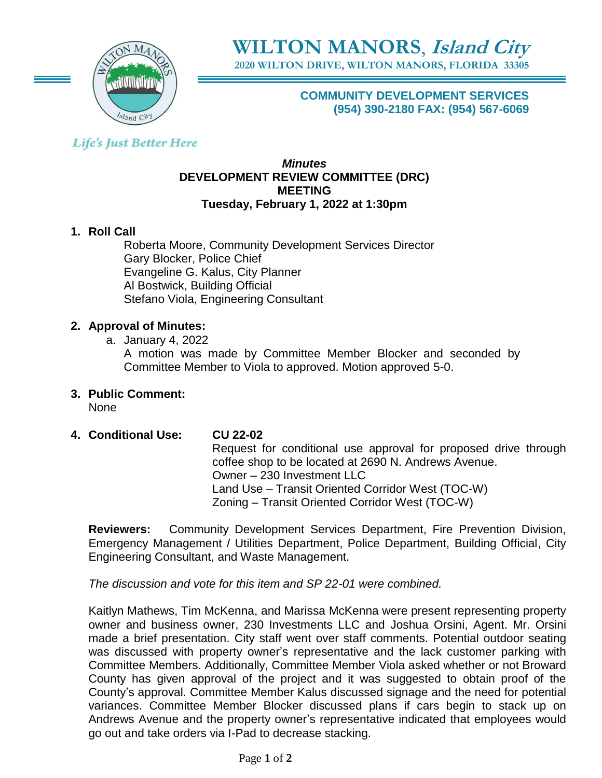

**2020 WILTON DRIVE, WILTON MANORS, FLORIDA 33305**

**COMMUNITY DEVELOPMENT SERVICES (954) 390-2180 FAX: (954) 567-6069**

## **Life's Just Better Here**

### *Minutes* **DEVELOPMENT REVIEW COMMITTEE (DRC) MEETING Tuesday, February 1, 2022 at 1:30pm**

## **1. Roll Call**

Roberta Moore, Community Development Services Director Gary Blocker, Police Chief Evangeline G. Kalus, City Planner Al Bostwick, Building Official Stefano Viola, Engineering Consultant

### **2. Approval of Minutes:**

a. January 4, 2022

A motion was made by Committee Member Blocker and seconded by Committee Member to Viola to approved. Motion approved 5-0.

**3. Public Comment:** 

None

**4. Conditional Use: CU 22-02**

Request for conditional use approval for proposed drive through coffee shop to be located at 2690 N. Andrews Avenue. Owner – 230 Investment LLC Land Use – Transit Oriented Corridor West (TOC-W) Zoning – Transit Oriented Corridor West (TOC-W)

**Reviewers:** Community Development Services Department, Fire Prevention Division, Emergency Management / Utilities Department, Police Department, Building Official, City Engineering Consultant, and Waste Management.

*The discussion and vote for this item and SP 22-01 were combined.* 

Kaitlyn Mathews, Tim McKenna, and Marissa McKenna were present representing property owner and business owner, 230 Investments LLC and Joshua Orsini, Agent. Mr. Orsini made a brief presentation. City staff went over staff comments. Potential outdoor seating was discussed with property owner's representative and the lack customer parking with Committee Members. Additionally, Committee Member Viola asked whether or not Broward County has given approval of the project and it was suggested to obtain proof of the County's approval. Committee Member Kalus discussed signage and the need for potential variances. Committee Member Blocker discussed plans if cars begin to stack up on Andrews Avenue and the property owner's representative indicated that employees would go out and take orders via I-Pad to decrease stacking.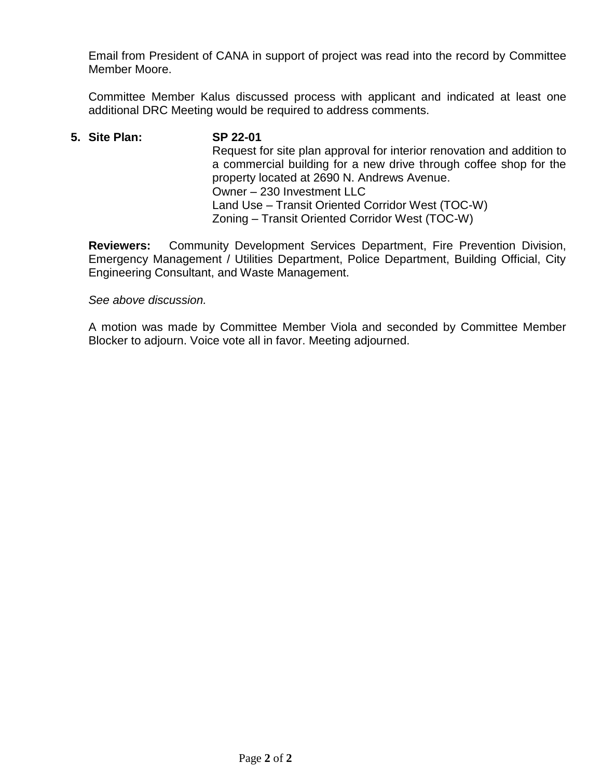Email from President of CANA in support of project was read into the record by Committee Member Moore.

Committee Member Kalus discussed process with applicant and indicated at least one additional DRC Meeting would be required to address comments.

**5. Site Plan: SP 22-01** Request for site plan approval for interior renovation and addition to a commercial building for a new drive through coffee shop for the property located at 2690 N. Andrews Avenue. Owner – 230 Investment LLC Land Use – Transit Oriented Corridor West (TOC-W) Zoning – Transit Oriented Corridor West (TOC-W)

**Reviewers:** Community Development Services Department, Fire Prevention Division, Emergency Management / Utilities Department, Police Department, Building Official, City Engineering Consultant, and Waste Management.

*See above discussion.*

A motion was made by Committee Member Viola and seconded by Committee Member Blocker to adjourn. Voice vote all in favor. Meeting adjourned.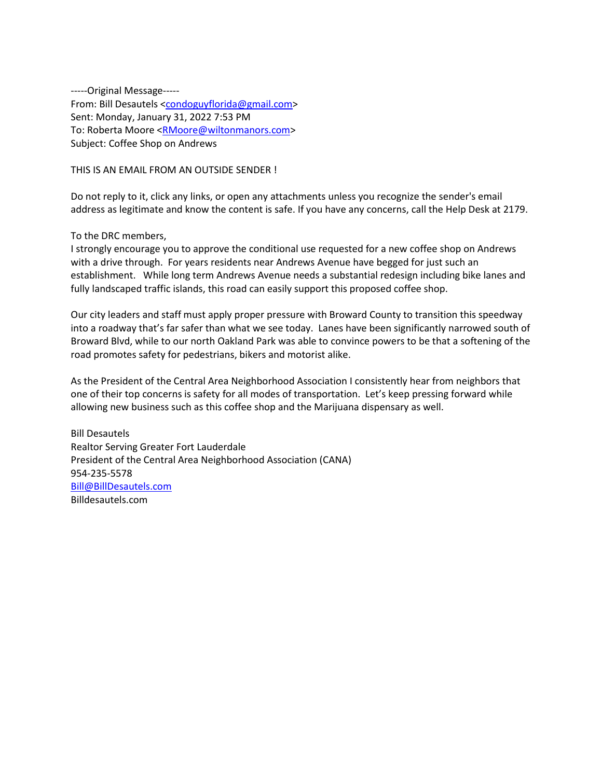-----Original Message----- From: Bill Desautels [<condoguyflorida@gmail.com>](mailto:condoguyflorida@gmail.com) Sent: Monday, January 31, 2022 7:53 PM To: Roberta Moore [<RMoore@wiltonmanors.com>](mailto:RMoore@wiltonmanors.com) Subject: Coffee Shop on Andrews

THIS IS AN EMAIL FROM AN OUTSIDE SENDER !

Do not reply to it, click any links, or open any attachments unless you recognize the sender's email address as legitimate and know the content is safe. If you have any concerns, call the Help Desk at 2179.

To the DRC members,

I strongly encourage you to approve the conditional use requested for a new coffee shop on Andrews with a drive through. For years residents near Andrews Avenue have begged for just such an establishment. While long term Andrews Avenue needs a substantial redesign including bike lanes and fully landscaped traffic islands, this road can easily support this proposed coffee shop.

Our city leaders and staff must apply proper pressure with Broward County to transition this speedway into a roadway that's far safer than what we see today. Lanes have been significantly narrowed south of Broward Blvd, while to our north Oakland Park was able to convince powers to be that a softening of the road promotes safety for pedestrians, bikers and motorist alike.

As the President of the Central Area Neighborhood Association I consistently hear from neighbors that one of their top concerns is safety for all modes of transportation. Let's keep pressing forward while allowing new business such as this coffee shop and the Marijuana dispensary as well.

Bill Desautels Realtor Serving Greater Fort Lauderdale President of the Central Area Neighborhood Association (CANA) 954-235-5578 [Bill@BillDesautels.com](mailto:Bill@BillDesautels.com) Billdesautels.com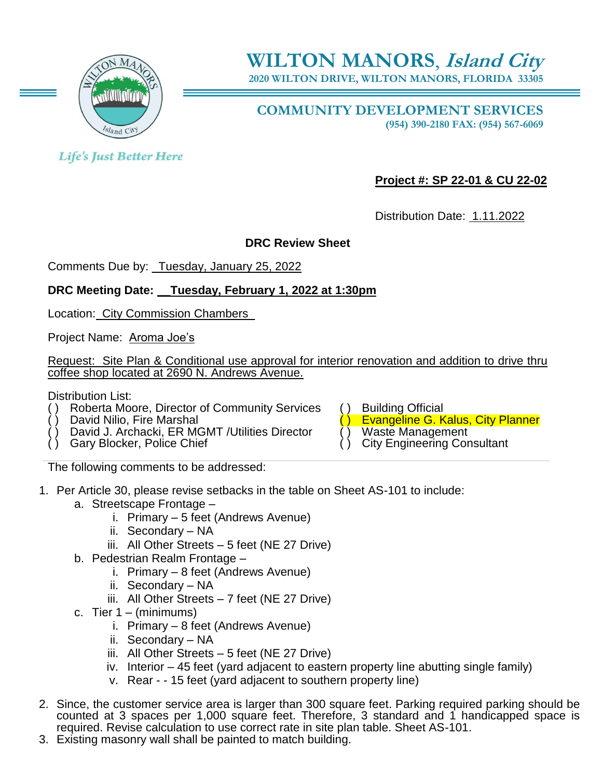

**2020 WILTON DRIVE, WILTON MANORS, FLORIDA 33305**

**COMMUNITY DEVELOPMENT SERVICES (954) 390-2180 FAX: (954) 567-6069**

**Life's Just Better Here** 

**Project #: SP 22-01 & CU 22-02**

Distribution Date: 1.11.2022

## **DRC Review Sheet**

Comments Due by: \_Tuesday, January 25, 2022

## **DRC Meeting Date: \_\_Tuesday, February 1, 2022 at 1:30pm**

Location: City Commission Chambers

Project Name: Aroma Joe's

Request: Site Plan & Conditional use approval for interior renovation and addition to drive thru coffee shop located at 2690 N. Andrews Avenue.

Distribution List:

- Roberta Moore, Director of Community Services () Building Official<br>David Nilio, Fire Marshal<br>C) Evangeline G. K
- 
- David J. Archacki, ER MGMT /Utilities Director Gary Blocker, Police Chief
- 

Evangeline G. Kalus, City Planner<br>Waste Management

- 
- **City Engineering Consultant**

The following comments to be addressed:

- 1. Per Article 30, please revise setbacks in the table on Sheet AS-101 to include:
	- a. Streetscape Frontage
		- i. Primary 5 feet (Andrews Avenue)
		- ii. Secondary NA
		- iii. All Other Streets 5 feet (NE 27 Drive)
	- b. Pedestrian Realm Frontage
		- i. Primary 8 feet (Andrews Avenue)
		- ii. Secondary NA
		- iii. All Other Streets 7 feet (NE 27 Drive)
	- c. Tier  $1 (minimum)$ 
		- i. Primary 8 feet (Andrews Avenue)
		- ii. Secondary NA
		- iii. All Other Streets 5 feet (NE 27 Drive)
		- iv. Interior 45 feet (yard adjacent to eastern property line abutting single family)
		- v. Rear - 15 feet (yard adjacent to southern property line)
- 2. Since, the customer service area is larger than 300 square feet. Parking required parking should be counted at 3 spaces per 1,000 square feet. Therefore, 3 standard and 1 handicapped space is required. Revise calculation to use correct rate in site plan table. Sheet AS-101.
- 3. Existing masonry wall shall be painted to match building.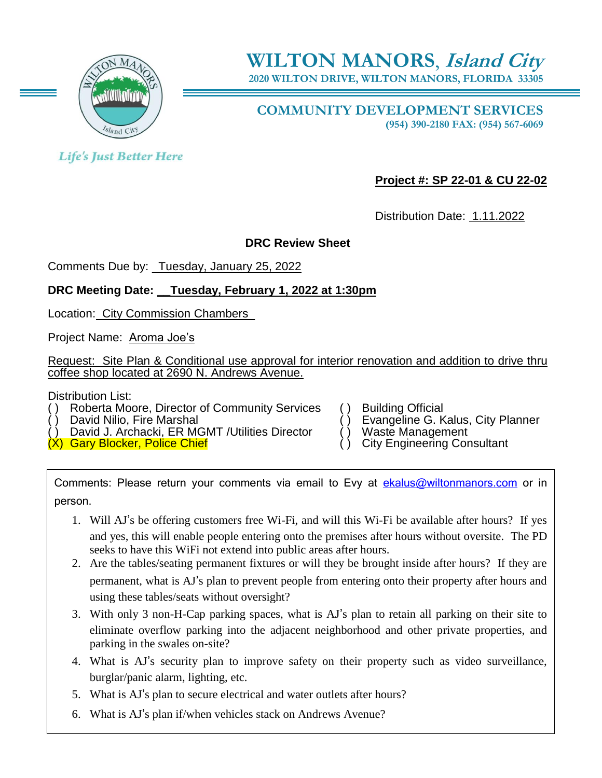

**2020 WILTON DRIVE, WILTON MANORS, FLORIDA 33305**

**COMMUNITY DEVELOPMENT SERVICES (954) 390-2180 FAX: (954) 567-6069**

**Life's Just Better Here** 

**Project #: SP 22-01 & CU 22-02**

Distribution Date: 1.11.2022

## **DRC Review Sheet**

Comments Due by: Tuesday, January 25, 2022

## **DRC Meeting Date: \_\_Tuesday, February 1, 2022 at 1:30pm**

Location: City Commission Chambers\_

Project Name: Aroma Joe's

Request: Site Plan & Conditional use approval for interior renovation and addition to drive thru coffee shop located at 2690 N. Andrews Avenue.

Distribution List:

Roberta Moore, Director of Community Services () Building Official<br>David Nilio, Fire Marshal () Evangeline G. K

David J. Archacki, ER MGMT /Utilities Director ( ) Waste Management<br>
Gary Blocker, Police Chief

 $(X)$  Gary Blocker, Police Chief

- 
- Evangeline G. Kalus, City Planner<br>Waste Management

Comments: Please return your comments via email to Evy at [ekalus@wiltonmanors.com](mailto:ekalus@wiltonmanors.com) or in person.

- 1. Will AJ's be offering customers free Wi-Fi, and will this Wi-Fi be available after hours? If yes and yes, this will enable people entering onto the premises after hours without oversite. The PD seeks to have this WiFi not extend into public areas after hours.
- 2. Are the tables/seating permanent fixtures or will they be brought inside after hours? If they are permanent, what is AJ's plan to prevent people from entering onto their property after hours and using these tables/seats without oversight?
- 3. With only 3 non-H-Cap parking spaces, what is AJ's plan to retain all parking on their site to eliminate overflow parking into the adjacent neighborhood and other private properties, and parking in the swales on-site?
- 4. What is AJ's security plan to improve safety on their property such as video surveillance, burglar/panic alarm, lighting, etc.
- 5. What is AJ's plan to secure electrical and water outlets after hours?
- 6. What is AJ's plan if/when vehicles stack on Andrews Avenue?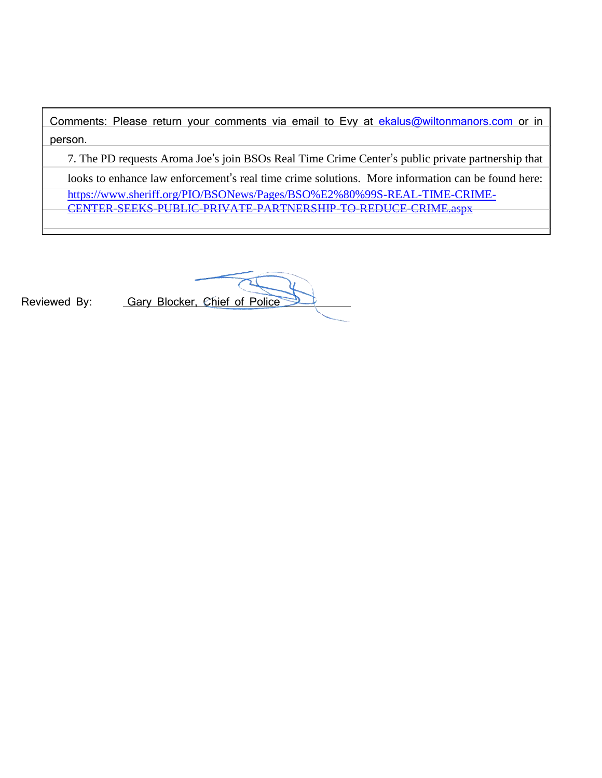Comments: Please return your comments via email to Evy at [ekalus@wiltonmanors.com](mailto:ekalus@wiltonmanors.com) or in person.

7. The PD requests Aroma Joe's join BSOs Real Time Crime Center's public private partnership that

looks to enhance law enforcement's real time crime solutions. More information can be found here: [https://www.sheriff.org/PIO/BSONews/Pages/BSO%E2%80%99S-REAL-TIME-CRIME-](https://www.sheriff.org/PIO/BSONews/Pages/BSO%E2%80%99S-REAL-TIME-CRIME-CENTER-SEEKS-PUBLIC-PRIVATE-PARTNERSHIP-TO-REDUCE-CRIME.aspx)[CENTER-SEEKS-PUBLIC-PRIVATE-PARTNERSHIP-TO-REDUCE-CRIME.aspx](https://www.sheriff.org/PIO/BSONews/Pages/BSO%E2%80%99S-REAL-TIME-CRIME-CENTER-SEEKS-PUBLIC-PRIVATE-PARTNERSHIP-TO-REDUCE-CRIME.aspx)

Reviewed By: Gary Blocker, Chief of Police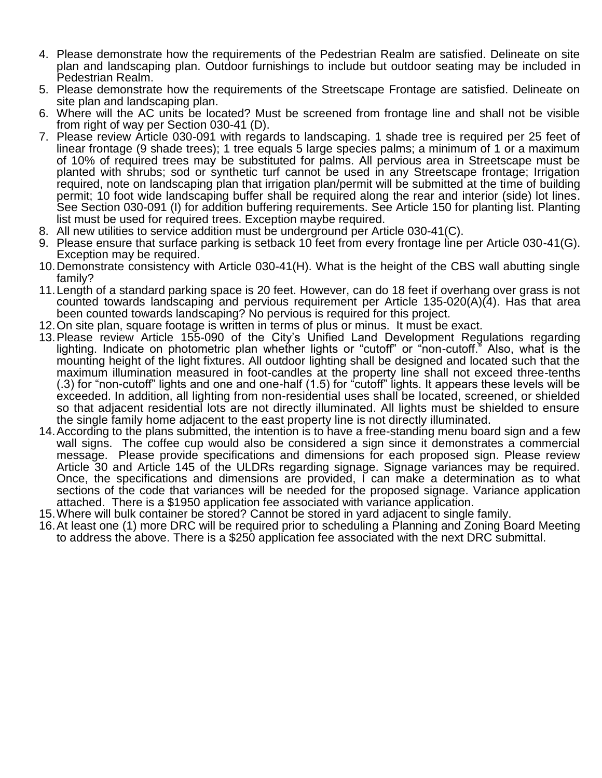- 4. Please demonstrate how the requirements of the Pedestrian Realm are satisfied. Delineate on site plan and landscaping plan. Outdoor furnishings to include but outdoor seating may be included in Pedestrian Realm.
- 5. Please demonstrate how the requirements of the Streetscape Frontage are satisfied. Delineate on site plan and landscaping plan.
- 6. Where will the AC units be located? Must be screened from frontage line and shall not be visible from right of way per Section 030-41 (D).
- 7. Please review Article 030-091 with regards to landscaping. 1 shade tree is required per 25 feet of linear frontage (9 shade trees); 1 tree equals 5 large species palms; a minimum of 1 or a maximum of 10% of required trees may be substituted for palms. All pervious area in Streetscape must be planted with shrubs; sod or synthetic turf cannot be used in any Streetscape frontage; Irrigation required, note on landscaping plan that irrigation plan/permit will be submitted at the time of building permit; 10 foot wide landscaping buffer shall be required along the rear and interior (side) lot lines. See Section 030-091 (I) for addition buffering requirements. See Article 150 for planting list. Planting list must be used for required trees. Exception maybe required.
- 8. All new utilities to service addition must be underground per Article 030-41(C).
- 9. Please ensure that surface parking is setback 10 feet from every frontage line per Article 030-41(G). Exception may be required.
- 10.Demonstrate consistency with Article 030-41(H). What is the height of the CBS wall abutting single family?
- 11.Length of a standard parking space is 20 feet. However, can do 18 feet if overhang over grass is not counted towards landscaping and pervious requirement per Article 135-020(A)(4). Has that area been counted towards landscaping? No pervious is required for this project.
- 12.On site plan, square footage is written in terms of plus or minus. It must be exact.
- 13.Please review Article 155-090 of the City's Unified Land Development Regulations regarding lighting. Indicate on photometric plan whether lights or "cutoff" or "non-cutoff." Also, what is the mounting height of the light fixtures. All outdoor lighting shall be designed and located such that the maximum illumination measured in foot-candles at the property line shall not exceed three-tenths (.3) for "non-cutoff" lights and one and one-half (1.5) for "cutoff" lights. It appears these levels will be exceeded. In addition, all lighting from non-residential uses shall be located, screened, or shielded so that adjacent residential lots are not directly illuminated. All lights must be shielded to ensure the single family home adjacent to the east property line is not directly illuminated.
- 14.According to the plans submitted, the intention is to have a free-standing menu board sign and a few wall signs. The coffee cup would also be considered a sign since it demonstrates a commercial message. Please provide specifications and dimensions for each proposed sign. Please review Article 30 and Article 145 of the ULDRs regarding signage. Signage variances may be required. Once, the specifications and dimensions are provided, I can make a determination as to what sections of the code that variances will be needed for the proposed signage. Variance application attached. There is a \$1950 application fee associated with variance application.
- 15.Where will bulk container be stored? Cannot be stored in yard adjacent to single family.
- 16.At least one (1) more DRC will be required prior to scheduling a Planning and Zoning Board Meeting to address the above. There is a \$250 application fee associated with the next DRC submittal.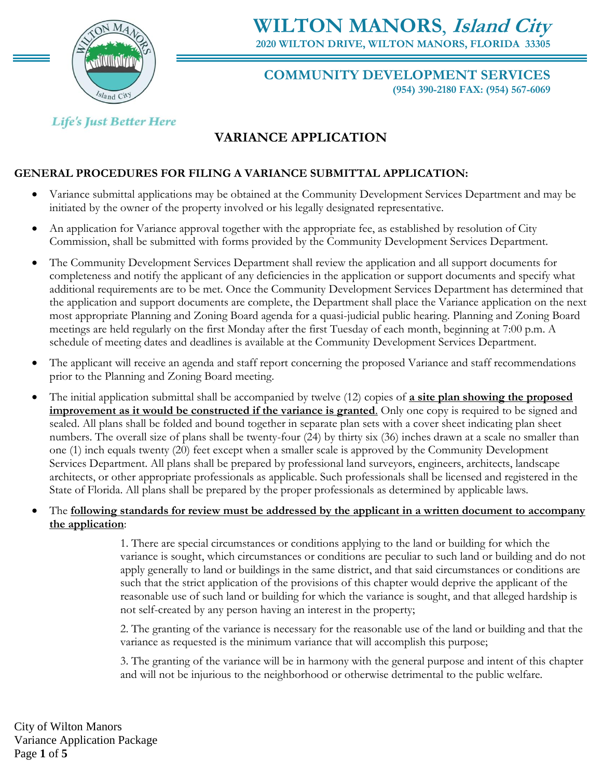

**WILTON MANORS**, **Island City 2020 WILTON DRIVE, WILTON MANORS, FLORIDA 33305**

### **COMMUNITY DEVELOPMENT SERVICES (954) 390-2180 FAX: (954) 567-6069**

**Life's Just Better Here** 

# **VARIANCE APPLICATION**

## **GENERAL PROCEDURES FOR FILING A VARIANCE SUBMITTAL APPLICATION:**

- Variance submittal applications may be obtained at the Community Development Services Department and may be initiated by the owner of the property involved or his legally designated representative.
- An application for Variance approval together with the appropriate fee, as established by resolution of City Commission, shall be submitted with forms provided by the Community Development Services Department.
- The Community Development Services Department shall review the application and all support documents for completeness and notify the applicant of any deficiencies in the application or support documents and specify what additional requirements are to be met. Once the Community Development Services Department has determined that the application and support documents are complete, the Department shall place the Variance application on the next most appropriate Planning and Zoning Board agenda for a quasi-judicial public hearing. Planning and Zoning Board meetings are held regularly on the first Monday after the first Tuesday of each month, beginning at 7:00 p.m. A schedule of meeting dates and deadlines is available at the Community Development Services Department.
- The applicant will receive an agenda and staff report concerning the proposed Variance and staff recommendations prior to the Planning and Zoning Board meeting.
- The initial application submittal shall be accompanied by twelve (12) copies of **a site plan showing the proposed improvement as it would be constructed if the variance is granted**. Only one copy is required to be signed and sealed. All plans shall be folded and bound together in separate plan sets with a cover sheet indicating plan sheet numbers. The overall size of plans shall be twenty-four (24) by thirty six (36) inches drawn at a scale no smaller than one (1) inch equals twenty (20) feet except when a smaller scale is approved by the Community Development Services Department. All plans shall be prepared by professional land surveyors, engineers, architects, landscape architects, or other appropriate professionals as applicable. Such professionals shall be licensed and registered in the State of Florida. All plans shall be prepared by the proper professionals as determined by applicable laws.
- The **following standards for review must be addressed by the applicant in a written document to accompany the application**:

1. There are special circumstances or conditions applying to the land or building for which the variance is sought, which circumstances or conditions are peculiar to such land or building and do not apply generally to land or buildings in the same district, and that said circumstances or conditions are such that the strict application of the provisions of this chapter would deprive the applicant of the reasonable use of such land or building for which the variance is sought, and that alleged hardship is not self-created by any person having an interest in the property;

2. The granting of the variance is necessary for the reasonable use of the land or building and that the variance as requested is the minimum variance that will accomplish this purpose;

3. The granting of the variance will be in harmony with the general purpose and intent of this chapter and will not be injurious to the neighborhood or otherwise detrimental to the public welfare.

City of Wilton Manors Variance Application Package Page **1** of **5**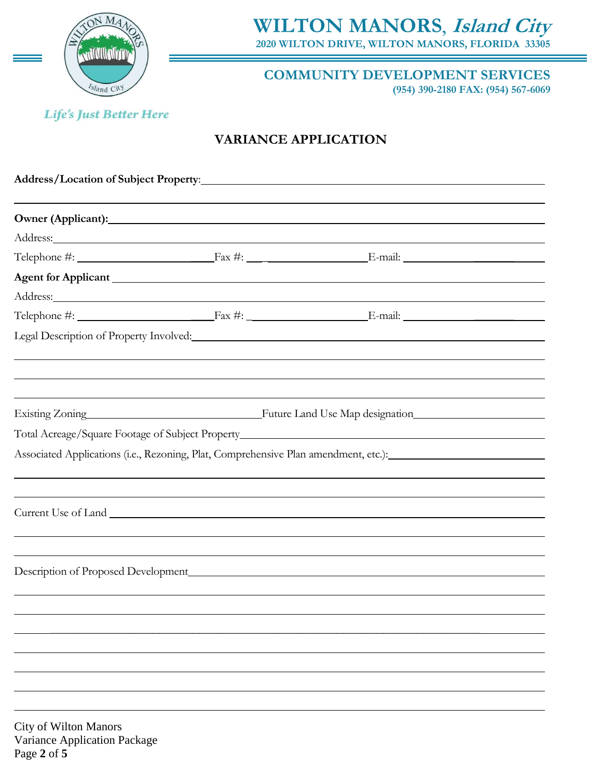

**WILTON MANORS**, **Island City 2020 WILTON DRIVE, WILTON MANORS, FLORIDA 33305** 

**COMMUNITY DEVELOPMENT SERVICES (954) 390-2180 FAX: (954) 567-6069**

**Life's Just Better Here** 

## **VARIANCE APPLICATION**

|                              | Address: |                                                                                                                                                                                                                                                                                                                                           |  |  |
|------------------------------|----------|-------------------------------------------------------------------------------------------------------------------------------------------------------------------------------------------------------------------------------------------------------------------------------------------------------------------------------------------|--|--|
|                              |          | Telephone $\#$ : $\qquad \qquad$ $\qquad$ $\qquad$ $\qquad$ $\qquad$ $\qquad$ $\qquad$ $\qquad$ $\qquad$ $\qquad$ $\qquad$ $\qquad$ $\qquad$ $\qquad$ $\qquad$ $\qquad$ $\qquad$ $\qquad$ $\qquad$ $\qquad$ $\qquad$ $\qquad$ $\qquad$ $\qquad$ $\qquad$ $\qquad$ $\qquad$ $\qquad$ $\qquad$ $\qquad$ $\qquad$ $\qquad$ $\qquad$ $\qquad$ |  |  |
|                              |          |                                                                                                                                                                                                                                                                                                                                           |  |  |
|                              |          |                                                                                                                                                                                                                                                                                                                                           |  |  |
|                              |          |                                                                                                                                                                                                                                                                                                                                           |  |  |
|                              |          |                                                                                                                                                                                                                                                                                                                                           |  |  |
|                              |          | Associated Applications (i.e., Rezoning, Plat, Comprehensive Plan amendment, etc.):                                                                                                                                                                                                                                                       |  |  |
|                              |          |                                                                                                                                                                                                                                                                                                                                           |  |  |
|                              |          |                                                                                                                                                                                                                                                                                                                                           |  |  |
|                              |          |                                                                                                                                                                                                                                                                                                                                           |  |  |
|                              |          |                                                                                                                                                                                                                                                                                                                                           |  |  |
|                              |          |                                                                                                                                                                                                                                                                                                                                           |  |  |
|                              |          |                                                                                                                                                                                                                                                                                                                                           |  |  |
|                              |          |                                                                                                                                                                                                                                                                                                                                           |  |  |
|                              |          |                                                                                                                                                                                                                                                                                                                                           |  |  |
|                              |          |                                                                                                                                                                                                                                                                                                                                           |  |  |
|                              |          |                                                                                                                                                                                                                                                                                                                                           |  |  |
|                              |          |                                                                                                                                                                                                                                                                                                                                           |  |  |
|                              |          |                                                                                                                                                                                                                                                                                                                                           |  |  |
| <b>City of Wilton Manors</b> |          |                                                                                                                                                                                                                                                                                                                                           |  |  |

Variance Application Package Page **2** of **5**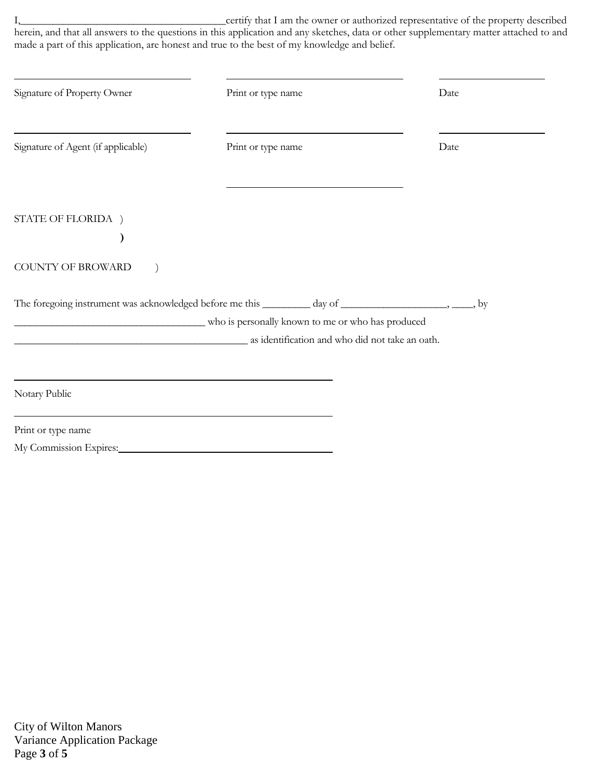I,\_\_\_\_\_\_\_\_\_\_\_\_\_\_\_\_\_\_\_\_\_\_\_\_\_\_\_\_\_\_\_\_\_\_\_\_\_\_certify that I am the owner or authorized representative of the property described herein, and that all answers to the questions in this application and any sketches, data or other supplementary matter attached to and made a part of this application, are honest and true to the best of my knowledge and belief.

| Signature of Property Owner                                                                                | Print or type name                                | Date |
|------------------------------------------------------------------------------------------------------------|---------------------------------------------------|------|
| Signature of Agent (if applicable)                                                                         | Print or type name                                | Date |
|                                                                                                            |                                                   |      |
| STATE OF FLORIDA )                                                                                         |                                                   |      |
|                                                                                                            |                                                   |      |
| COUNTY OF BROWARD                                                                                          |                                                   |      |
| The foregoing instrument was acknowledged before me this ________ day of ______________________, _____, by |                                                   |      |
|                                                                                                            | who is personally known to me or who has produced |      |
| as identification and who did not take an oath.                                                            |                                                   |      |
|                                                                                                            |                                                   |      |
| Notary Public                                                                                              |                                                   |      |
| Print or type name                                                                                         |                                                   |      |
| My Commission Expires:                                                                                     |                                                   |      |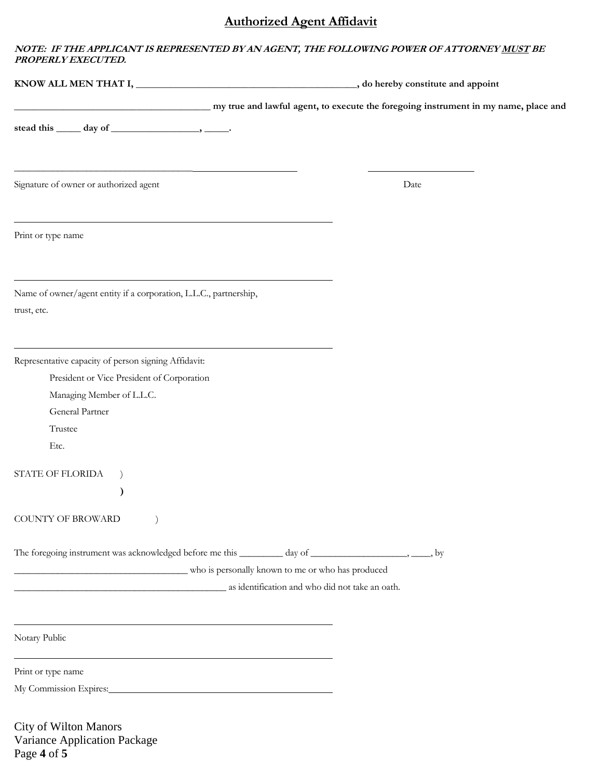## **Authorized Agent Affidavit**

#### **NOTE: IF THE APPLICANT IS REPRESENTED BY AN AGENT, THE FOLLOWING POWER OF ATTORNEY MUST BE PROPERLY EXECUTED.**

| my true and lawful agent, to execute the foregoing instrument in my name, place and                                       |      |
|---------------------------------------------------------------------------------------------------------------------------|------|
| stead this $\_\_\_$ day of $\_\_\_\_\_\_\$                                                                                |      |
|                                                                                                                           |      |
| <u> 1989 - Johann John Stein, mars an deus Amerikaansk kommunister (* 1958)</u><br>Signature of owner or authorized agent | Date |
| and the control of the control of the control of the control of the control of the control of the control of the          |      |
| Print or type name                                                                                                        |      |
| Name of owner/agent entity if a corporation, L.L.C., partnership,                                                         |      |
| trust, etc.                                                                                                               |      |
|                                                                                                                           |      |
| Representative capacity of person signing Affidavit:                                                                      |      |
| President or Vice President of Corporation                                                                                |      |
| Managing Member of L.L.C.                                                                                                 |      |
| General Partner                                                                                                           |      |
| Trustee                                                                                                                   |      |
| Etc.                                                                                                                      |      |
| STATE OF FLORIDA<br>$\left( \right)$                                                                                      |      |
| $\mathcal Y$                                                                                                              |      |
| COUNTY OF BROWARD                                                                                                         |      |
| The foregoing instrument was acknowledged before me this ________ day of ________________________, _____, by              |      |
| who is personally known to me or who has produced                                                                         |      |
| as identification and who did not take an oath.                                                                           |      |
| <u> 1989 - Johann Stoff, amerikansk politiker (d. 1989)</u>                                                               |      |
| Notary Public                                                                                                             |      |
| Print or type name                                                                                                        |      |
| My Commission Expires: My Commission Expires:                                                                             |      |
| City of Wilton Manors                                                                                                     |      |

Variance Application Package Page **4** of **5**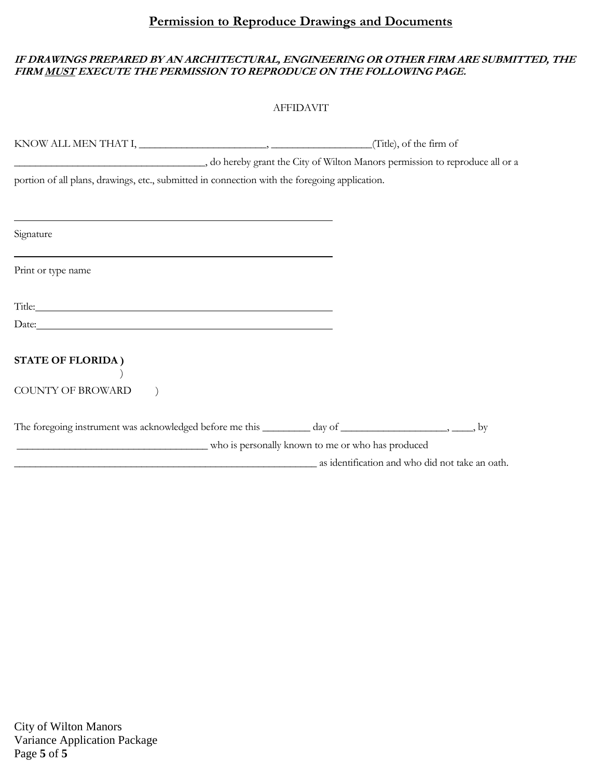## **Permission to Reproduce Drawings and Documents**

### **IF DRAWINGS PREPARED BY AN ARCHITECTURAL, ENGINEERING OR OTHER FIRM ARE SUBMITTED, THE FIRM MUST EXECUTE THE PERMISSION TO REPRODUCE ON THE FOLLOWING PAGE.**

|                                                                                                                                                                                                                                | <b>AFFIDAVIT</b>                                                           |  |
|--------------------------------------------------------------------------------------------------------------------------------------------------------------------------------------------------------------------------------|----------------------------------------------------------------------------|--|
|                                                                                                                                                                                                                                |                                                                            |  |
|                                                                                                                                                                                                                                | do hereby grant the City of Wilton Manors permission to reproduce all or a |  |
| portion of all plans, drawings, etc., submitted in connection with the foregoing application.                                                                                                                                  |                                                                            |  |
|                                                                                                                                                                                                                                |                                                                            |  |
|                                                                                                                                                                                                                                |                                                                            |  |
| Signature                                                                                                                                                                                                                      |                                                                            |  |
| Print or type name                                                                                                                                                                                                             |                                                                            |  |
| Title: The contract of the contract of the contract of the contract of the contract of the contract of the contract of the contract of the contract of the contract of the contract of the contract of the contract of the con |                                                                            |  |
| Date: <u>Date:</u>                                                                                                                                                                                                             |                                                                            |  |
| <b>STATE OF FLORIDA)</b>                                                                                                                                                                                                       |                                                                            |  |
| COUNTY OF BROWARD                                                                                                                                                                                                              |                                                                            |  |
| The foregoing instrument was acknowledged before me this ________ day of _______________________, _____, by                                                                                                                    |                                                                            |  |
| who is personally known to me or who has produced                                                                                                                                                                              |                                                                            |  |

\_\_\_\_\_\_\_\_\_\_\_\_\_\_\_\_\_\_\_\_\_\_\_\_\_\_\_\_\_\_\_\_\_\_\_\_\_\_\_\_\_\_\_\_\_\_\_\_\_\_\_\_\_\_\_\_\_ as identification and who did not take an oath.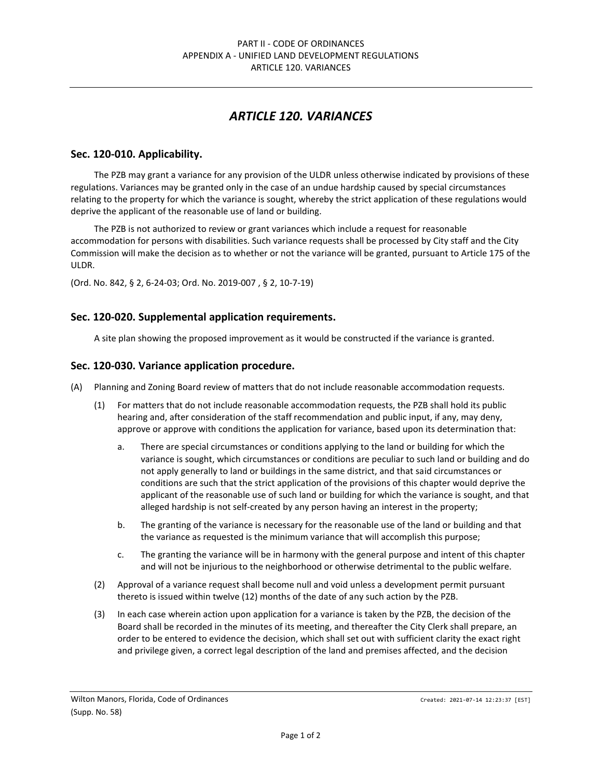## *ARTICLE 120. VARIANCES*

### **Sec. 120-010. Applicability.**

The PZB may grant a variance for any provision of the ULDR unless otherwise indicated by provisions of these regulations. Variances may be granted only in the case of an undue hardship caused by special circumstances relating to the property for which the variance is sought, whereby the strict application of these regulations would deprive the applicant of the reasonable use of land or building.

The PZB is not authorized to review or grant variances which include a request for reasonable accommodation for persons with disabilities. Such variance requests shall be processed by City staff and the City Commission will make the decision as to whether or not the variance will be granted, pursuant to Article 175 of the ULDR.

(Ord. No. 842, § 2, 6-24-03; Ord. No. 2019-007 , § 2, 10-7-19)

### **Sec. 120-020. Supplemental application requirements.**

A site plan showing the proposed improvement as it would be constructed if the variance is granted.

#### **Sec. 120-030. Variance application procedure.**

- (A) Planning and Zoning Board review of matters that do not include reasonable accommodation requests.
	- (1) For matters that do not include reasonable accommodation requests, the PZB shall hold its public hearing and, after consideration of the staff recommendation and public input, if any, may deny, approve or approve with conditions the application for variance, based upon its determination that:
		- a. There are special circumstances or conditions applying to the land or building for which the variance is sought, which circumstances or conditions are peculiar to such land or building and do not apply generally to land or buildings in the same district, and that said circumstances or conditions are such that the strict application of the provisions of this chapter would deprive the applicant of the reasonable use of such land or building for which the variance is sought, and that alleged hardship is not self-created by any person having an interest in the property;
		- b. The granting of the variance is necessary for the reasonable use of the land or building and that the variance as requested is the minimum variance that will accomplish this purpose;
		- c. The granting the variance will be in harmony with the general purpose and intent of this chapter and will not be injurious to the neighborhood or otherwise detrimental to the public welfare.
	- (2) Approval of a variance request shall become null and void unless a development permit pursuant thereto is issued within twelve (12) months of the date of any such action by the PZB.
	- (3) In each case wherein action upon application for a variance is taken by the PZB, the decision of the Board shall be recorded in the minutes of its meeting, and thereafter the City Clerk shall prepare, an order to be entered to evidence the decision, which shall set out with sufficient clarity the exact right and privilege given, a correct legal description of the land and premises affected, and the decision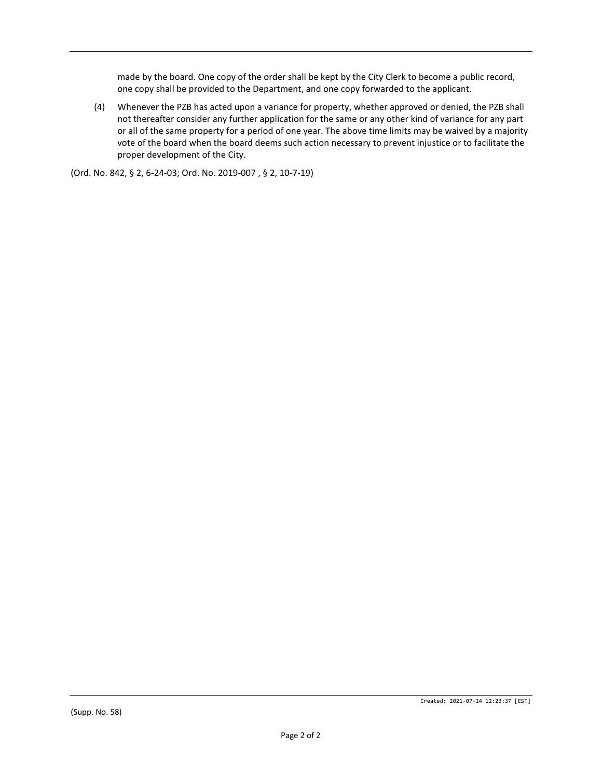made by the board. One copy of the order shall be kept by the City Clerk to become a public record, one copy shall be provided to the Department, and one copy forwarded to the applicant.

(4) Whenever the PZB has acted upon a variance for property, whether approved or denied, the PZB shall not thereafter consider any further application for the same or any other kind of variance for any part or all of the same property for a period of one year. The above time limits may be waived by a majority vote of the board when the board deems such action necessary to prevent injustice or to facilitate the proper development of the City.

(Ord. No. 842, § 2, 6-24-03; Ord. No. 2019-007 , § 2, 10-7-19)